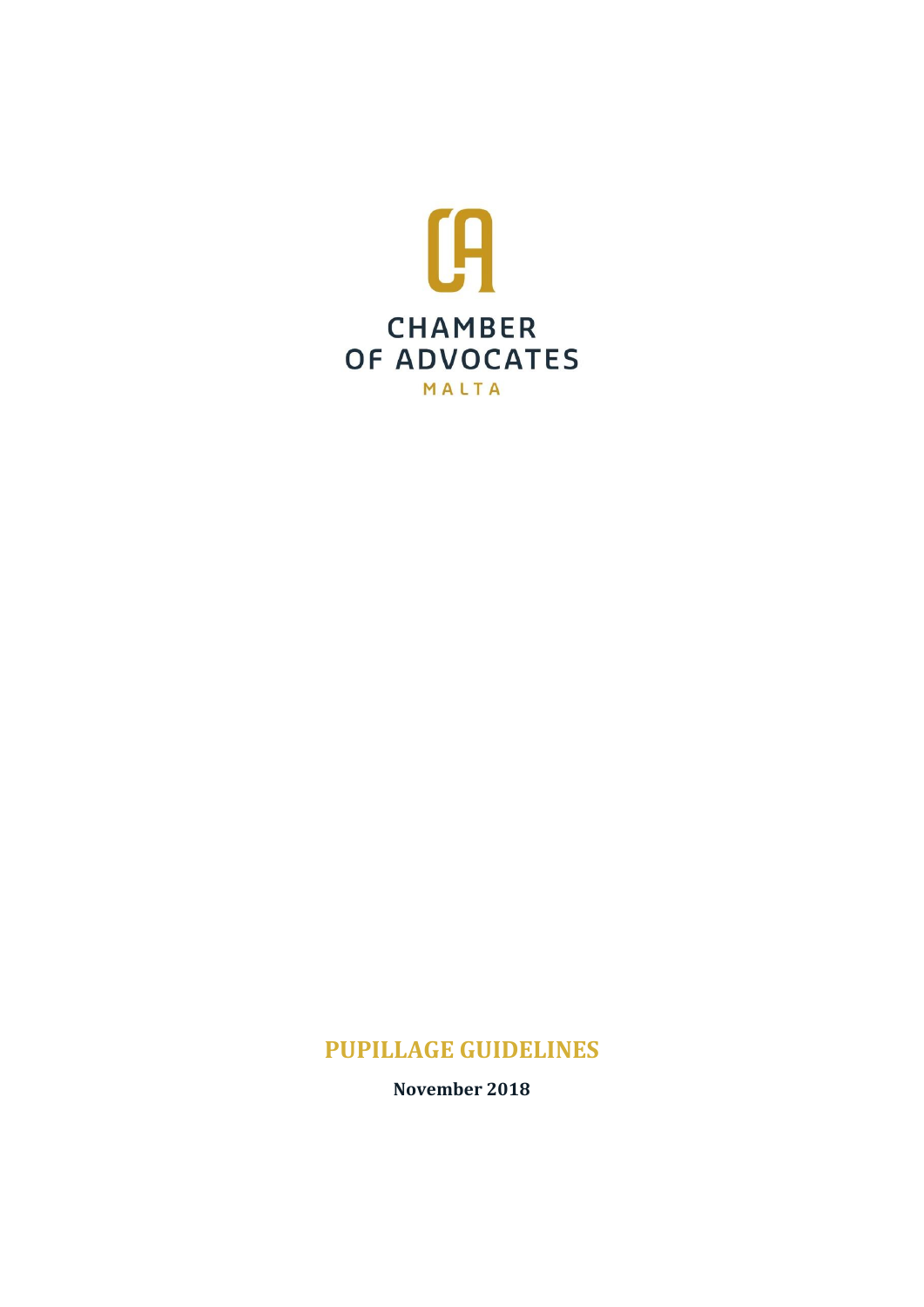

## **PUPILLAGE GUIDELINES**

**November 2018**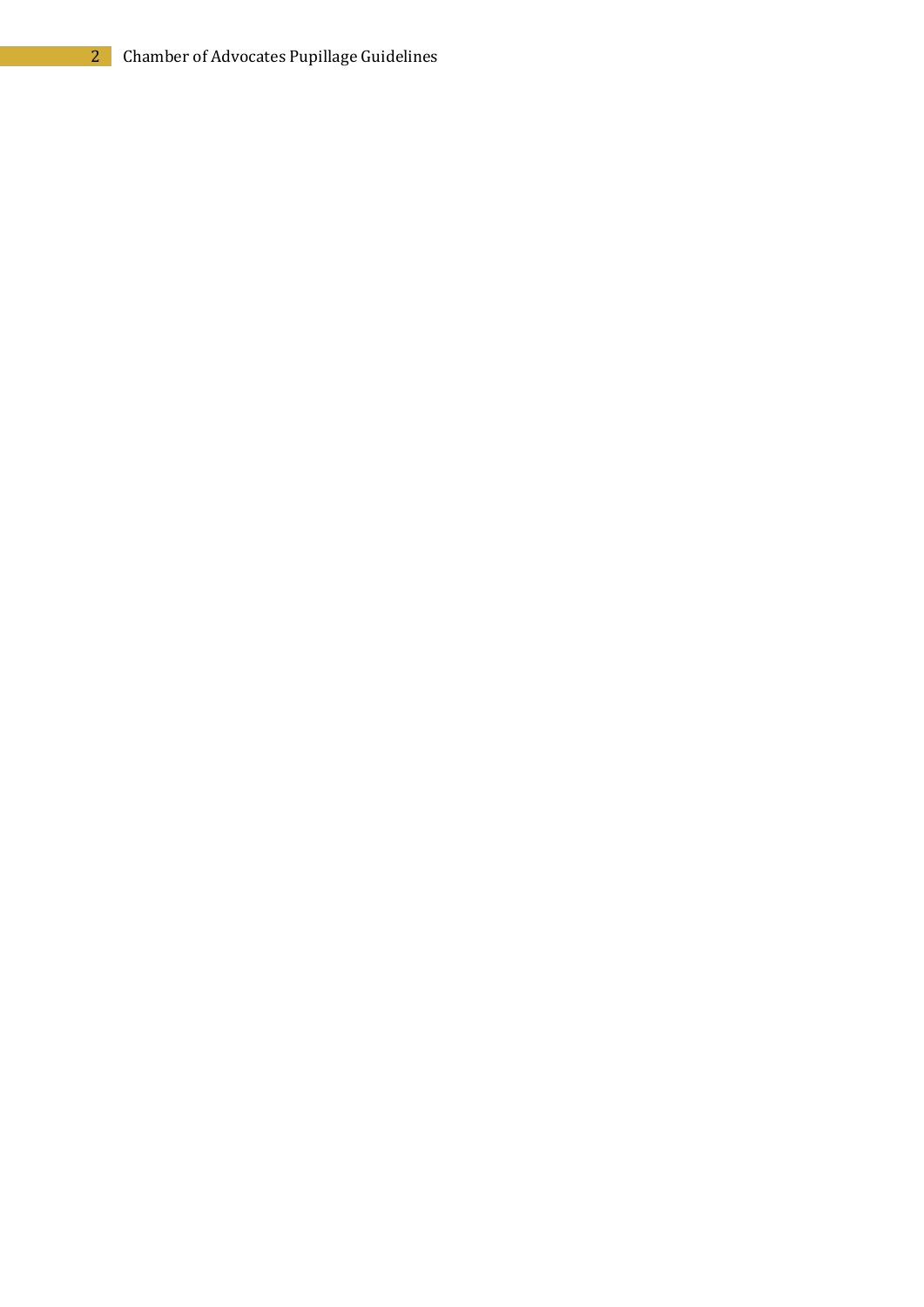## 2 Chamber of Advocates Pupillage Guidelines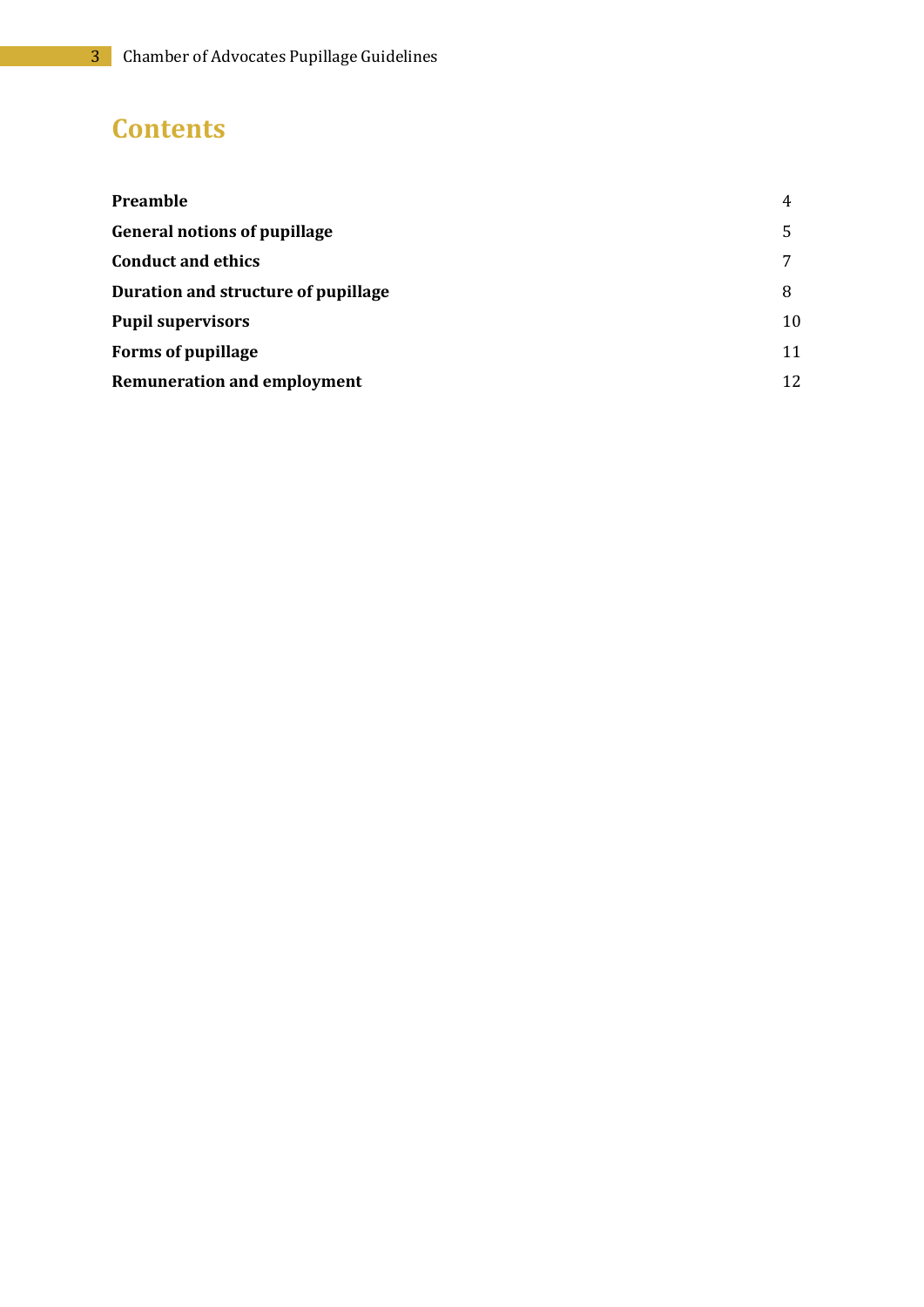# **Contents**

| <b>Preamble</b>                     | 4  |
|-------------------------------------|----|
| <b>General notions of pupillage</b> | 5  |
| <b>Conduct and ethics</b>           | 7  |
| Duration and structure of pupillage | 8  |
| <b>Pupil supervisors</b>            | 10 |
| <b>Forms of pupillage</b>           | 11 |
| <b>Remuneration and employment</b>  | 12 |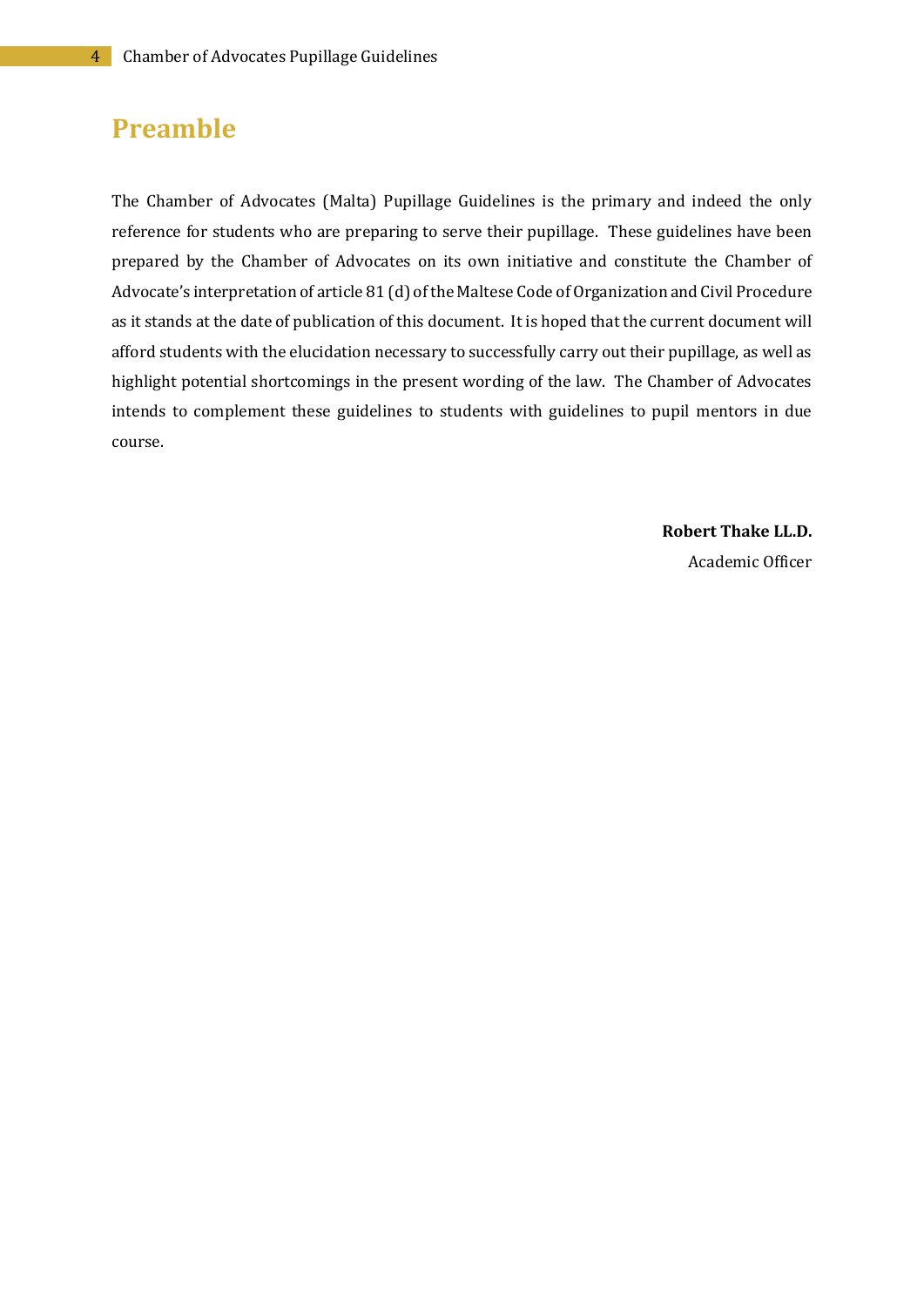## **Preamble**

The Chamber of Advocates (Malta) Pupillage Guidelines is the primary and indeed the only reference for students who are preparing to serve their pupillage. These guidelines have been prepared by the Chamber of Advocates on its own initiative and constitute the Chamber of Advocate's interpretation of article 81 (d) of the Maltese Code of Organization and Civil Procedure as it stands at the date of publication of this document. It is hoped that the current document will afford students with the elucidation necessary to successfully carry out their pupillage, as well as highlight potential shortcomings in the present wording of the law. The Chamber of Advocates intends to complement these guidelines to students with guidelines to pupil mentors in due course.

> **Robert Thake LL.D.** Academic Officer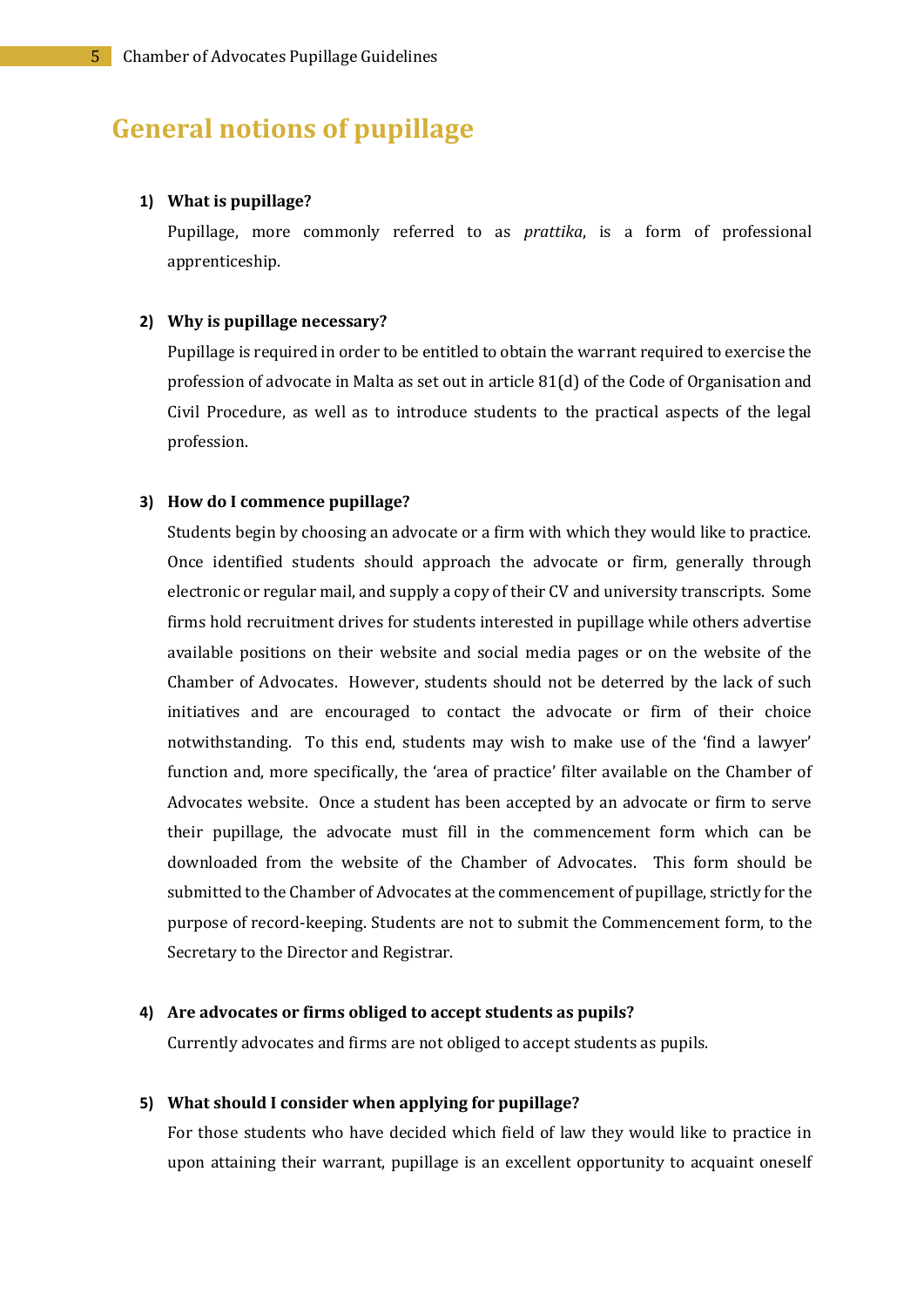## **General notions of pupillage**

## **1) What is pupillage?**

Pupillage, more commonly referred to as *prattika*, is a form of professional apprenticeship.

### **2) Why is pupillage necessary?**

Pupillage is required in order to be entitled to obtain the warrant required to exercise the profession of advocate in Malta as set out in article 81(d) of the Code of Organisation and Civil Procedure, as well as to introduce students to the practical aspects of the legal profession.

### **3) How do I commence pupillage?**

Students begin by choosing an advocate or a firm with which they would like to practice. Once identified students should approach the advocate or firm, generally through electronic or regular mail, and supply a copy of their CV and university transcripts. Some firms hold recruitment drives for students interested in pupillage while others advertise available positions on their website and social media pages or on the website of the Chamber of Advocates. However, students should not be deterred by the lack of such initiatives and are encouraged to contact the advocate or firm of their choice notwithstanding. To this end, students may wish to make use of the 'find a lawyer' function and, more specifically, the 'area of practice' filter available on the Chamber of Advocates website. Once a student has been accepted by an advocate or firm to serve their pupillage, the advocate must fill in the commencement form which can be downloaded from the website of the Chamber of Advocates. This form should be submitted to the Chamber of Advocates at the commencement of pupillage, strictly for the purpose of record-keeping. Students are not to submit the Commencement form, to the Secretary to the Director and Registrar.

## **4) Are advocates or firms obliged to accept students as pupils?**

Currently advocates and firms are not obliged to accept students as pupils.

### **5) What should I consider when applying for pupillage?**

For those students who have decided which field of law they would like to practice in upon attaining their warrant, pupillage is an excellent opportunity to acquaint oneself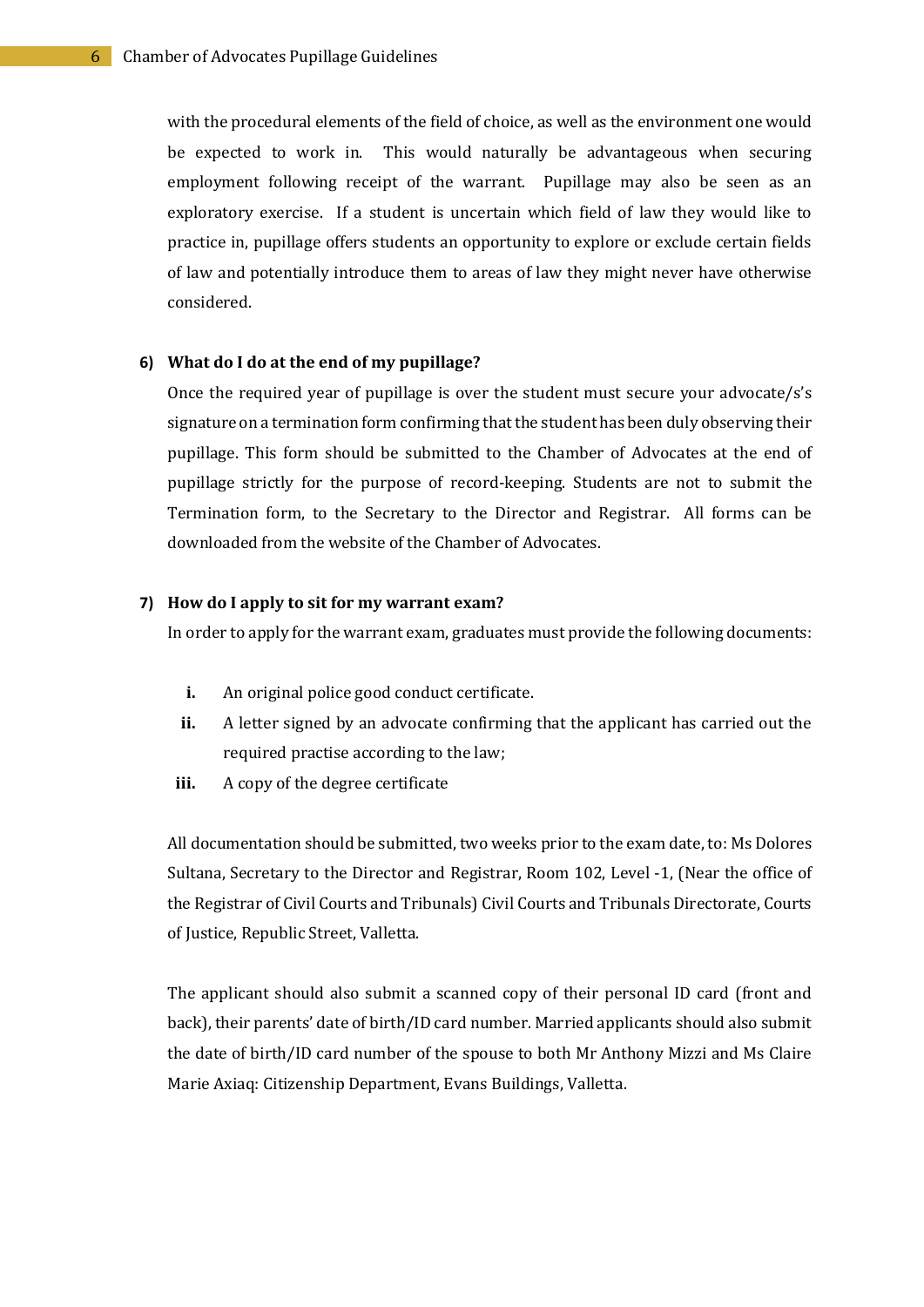with the procedural elements of the field of choice, as well as the environment one would be expected to work in. This would naturally be advantageous when securing employment following receipt of the warrant. Pupillage may also be seen as an exploratory exercise. If a student is uncertain which field of law they would like to practice in, pupillage offers students an opportunity to explore or exclude certain fields of law and potentially introduce them to areas of law they might never have otherwise considered.

#### **6) What do I do at the end of my pupillage?**

Once the required year of pupillage is over the student must secure your advocate/s's signature on a termination form confirming that the student has been duly observing their pupillage. This form should be submitted to the Chamber of Advocates at the end of pupillage strictly for the purpose of record-keeping. Students are not to submit the Termination form, to the Secretary to the Director and Registrar. All forms can be downloaded from the website of the Chamber of Advocates.

## **7) How do I apply to sit for my warrant exam?**

In order to apply for the warrant exam, graduates must provide the following documents:

- **i.** An original police good conduct certificate.
- **ii.** A letter signed by an advocate confirming that the applicant has carried out the required practise according to the law;
- **iii.** A copy of the degree certificate

All documentation should be submitted, two weeks prior to the exam date, to: Ms Dolores Sultana, Secretary to the Director and Registrar, Room 102, Level -1, (Near the office of the Registrar of Civil Courts and Tribunals) Civil Courts and Tribunals Directorate, Courts of Justice, Republic Street, Valletta.

The applicant should also submit a scanned copy of their personal ID card (front and back), their parents' date of birth/ID card number. Married applicants should also submit the date of birth/ID card number of the spouse to both Mr Anthony Mizzi and Ms Claire Marie Axiaq: Citizenship Department, Evans Buildings, Valletta.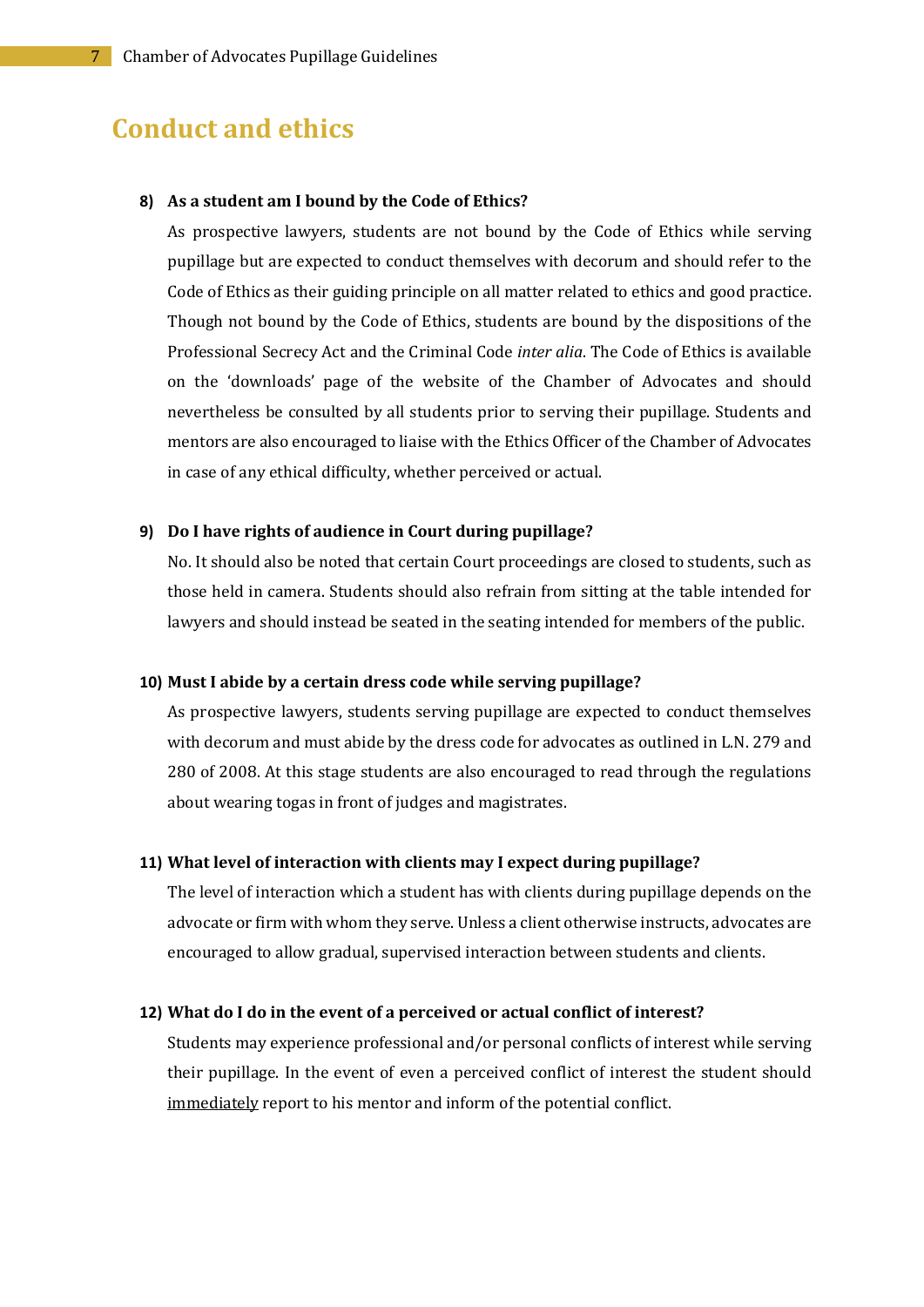## **Conduct and ethics**

### **8) As a student am I bound by the Code of Ethics?**

As prospective lawyers, students are not bound by the Code of Ethics while serving pupillage but are expected to conduct themselves with decorum and should refer to the Code of Ethics as their guiding principle on all matter related to ethics and good practice. Though not bound by the Code of Ethics, students are bound by the dispositions of the Professional Secrecy Act and the Criminal Code *inter alia*. The Code of Ethics is available on the 'downloads' page of the website of the Chamber of Advocates and should nevertheless be consulted by all students prior to serving their pupillage. Students and mentors are also encouraged to liaise with the Ethics Officer of the Chamber of Advocates in case of any ethical difficulty, whether perceived or actual.

## **9) Do I have rights of audience in Court during pupillage?**

No. It should also be noted that certain Court proceedings are closed to students, such as those held in camera. Students should also refrain from sitting at the table intended for lawyers and should instead be seated in the seating intended for members of the public.

### **10) Must I abide by a certain dress code while serving pupillage?**

As prospective lawyers, students serving pupillage are expected to conduct themselves with decorum and must abide by the dress code for advocates as outlined in L.N. 279 and 280 of 2008. At this stage students are also encouraged to read through the regulations about wearing togas in front of judges and magistrates.

## **11) What level of interaction with clients may I expect during pupillage?**

The level of interaction which a student has with clients during pupillage depends on the advocate or firm with whom they serve. Unless a client otherwise instructs, advocates are encouraged to allow gradual, supervised interaction between students and clients.

### **12) What do I do in the event of a perceived or actual conflict of interest?**

Students may experience professional and/or personal conflicts of interest while serving their pupillage. In the event of even a perceived conflict of interest the student should immediately report to his mentor and inform of the potential conflict.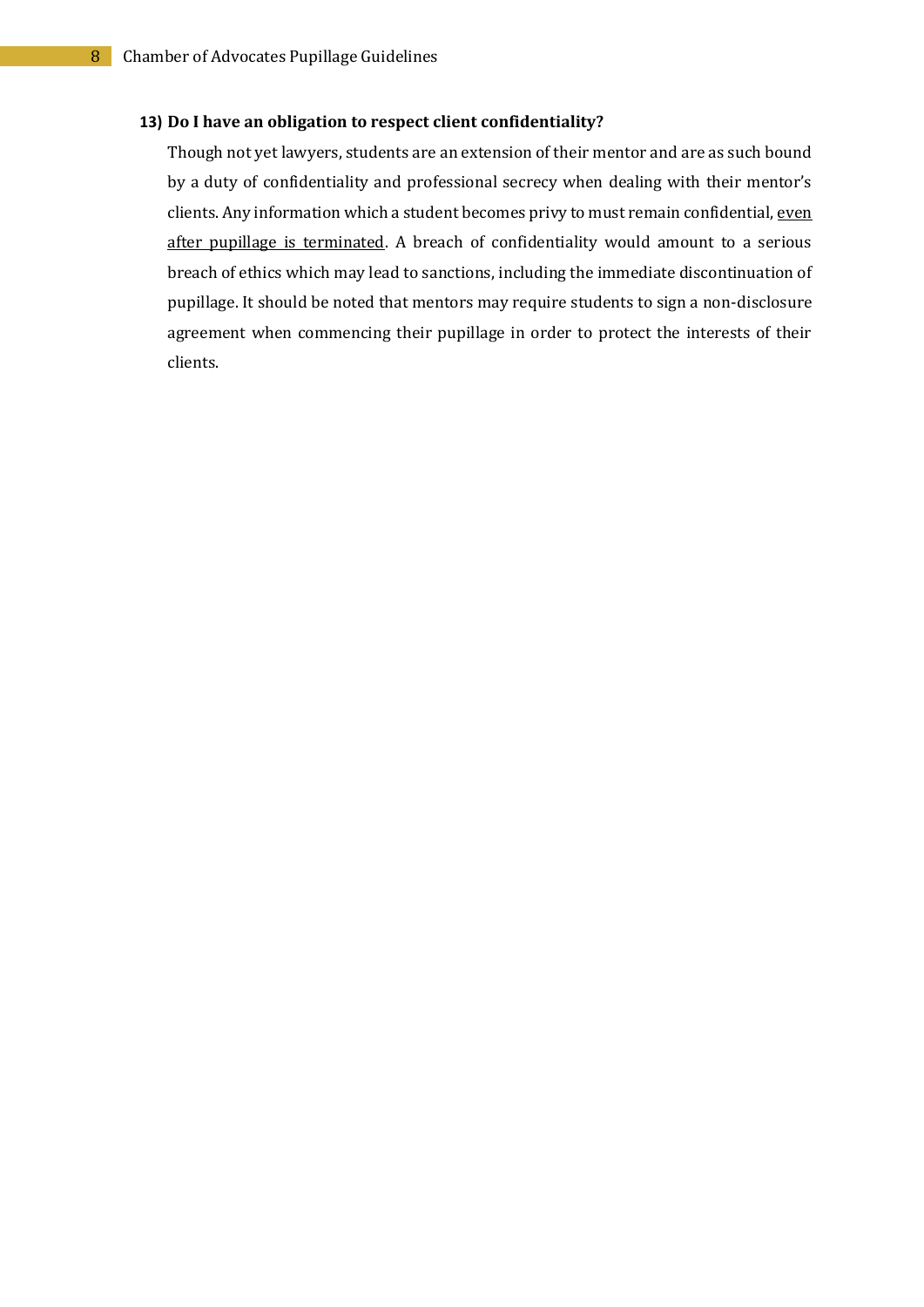## **13) Do I have an obligation to respect client confidentiality?**

Though not yet lawyers, students are an extension of their mentor and are as such bound by a duty of confidentiality and professional secrecy when dealing with their mentor's clients. Any information which a student becomes privy to must remain confidential, even after pupillage is terminated. A breach of confidentiality would amount to a serious breach of ethics which may lead to sanctions, including the immediate discontinuation of pupillage. It should be noted that mentors may require students to sign a non-disclosure agreement when commencing their pupillage in order to protect the interests of their clients.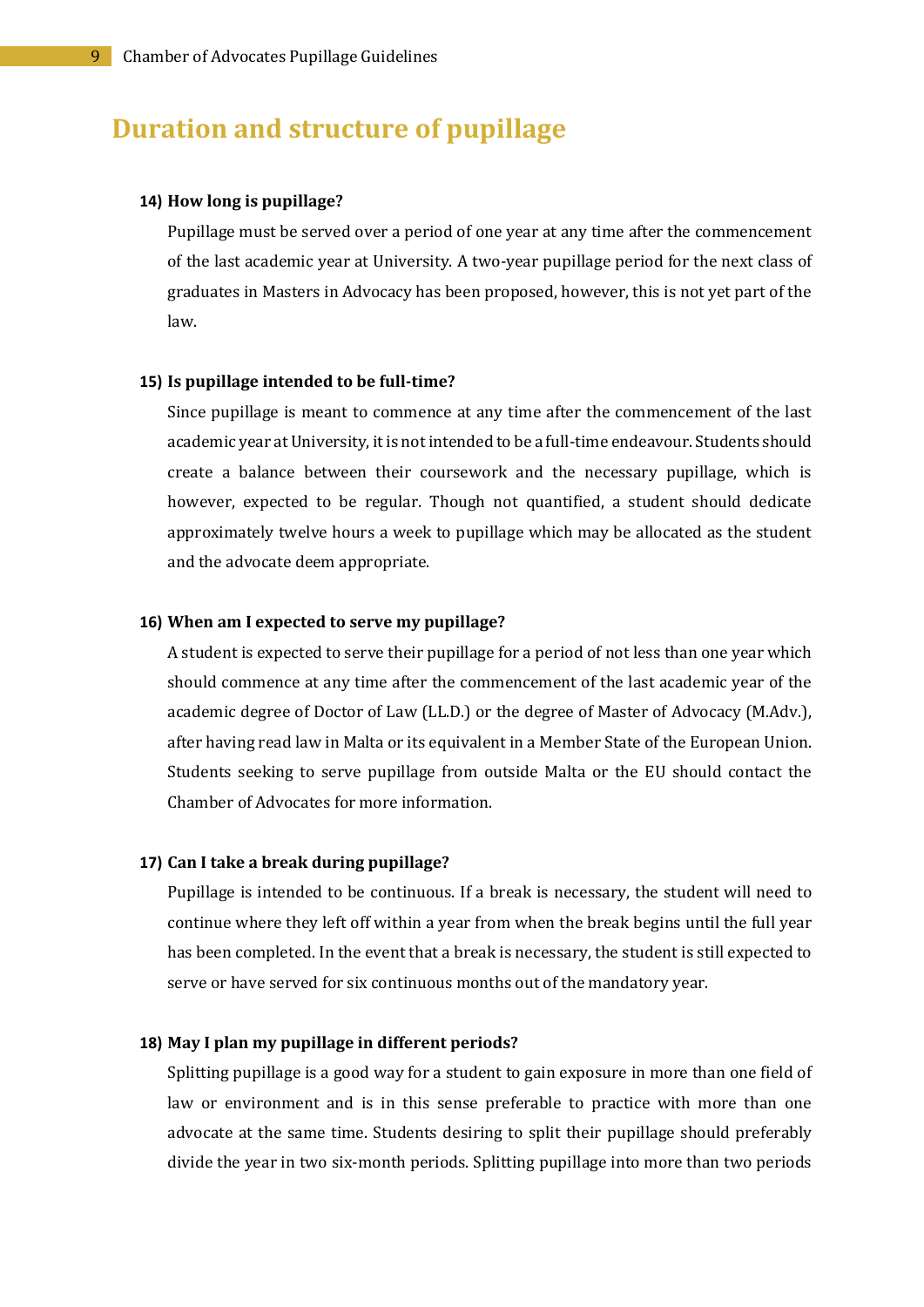## **Duration and structure of pupillage**

## **14) How long is pupillage?**

Pupillage must be served over a period of one year at any time after the commencement of the last academic year at University. A two-year pupillage period for the next class of graduates in Masters in Advocacy has been proposed, however, this is not yet part of the law.

#### **15) Is pupillage intended to be full-time?**

Since pupillage is meant to commence at any time after the commencement of the last academic year at University, it is not intended to be a full-time endeavour. Students should create a balance between their coursework and the necessary pupillage, which is however, expected to be regular. Though not quantified, a student should dedicate approximately twelve hours a week to pupillage which may be allocated as the student and the advocate deem appropriate.

### **16) When am I expected to serve my pupillage?**

A student is expected to serve their pupillage for a period of not less than one year which should commence at any time after the commencement of the last academic year of the academic degree of Doctor of Law (LL.D.) or the degree of Master of Advocacy (M.Adv.), after having read law in Malta or its equivalent in a Member State of the European Union. Students seeking to serve pupillage from outside Malta or the EU should contact the Chamber of Advocates for more information.

### **17) Can I take a break during pupillage?**

Pupillage is intended to be continuous. If a break is necessary, the student will need to continue where they left off within a year from when the break begins until the full year has been completed. In the event that a break is necessary, the student is still expected to serve or have served for six continuous months out of the mandatory year.

## **18) May I plan my pupillage in different periods?**

Splitting pupillage is a good way for a student to gain exposure in more than one field of law or environment and is in this sense preferable to practice with more than one advocate at the same time. Students desiring to split their pupillage should preferably divide the year in two six-month periods. Splitting pupillage into more than two periods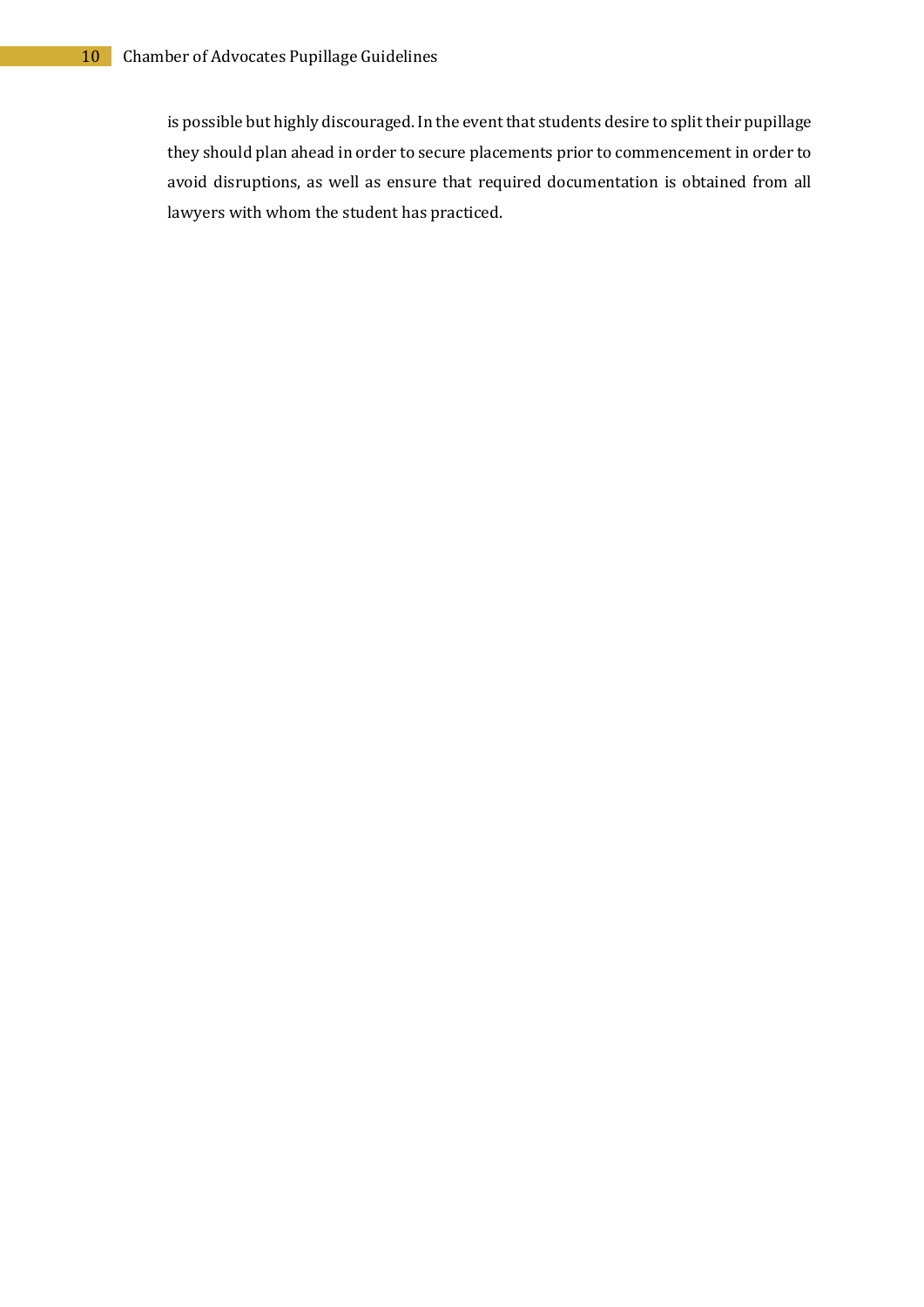is possible but highly discouraged. In the event that students desire to split their pupillage they should plan ahead in order to secure placements prior to commencement in order to avoid disruptions, as well as ensure that required documentation is obtained from all lawyers with whom the student has practiced.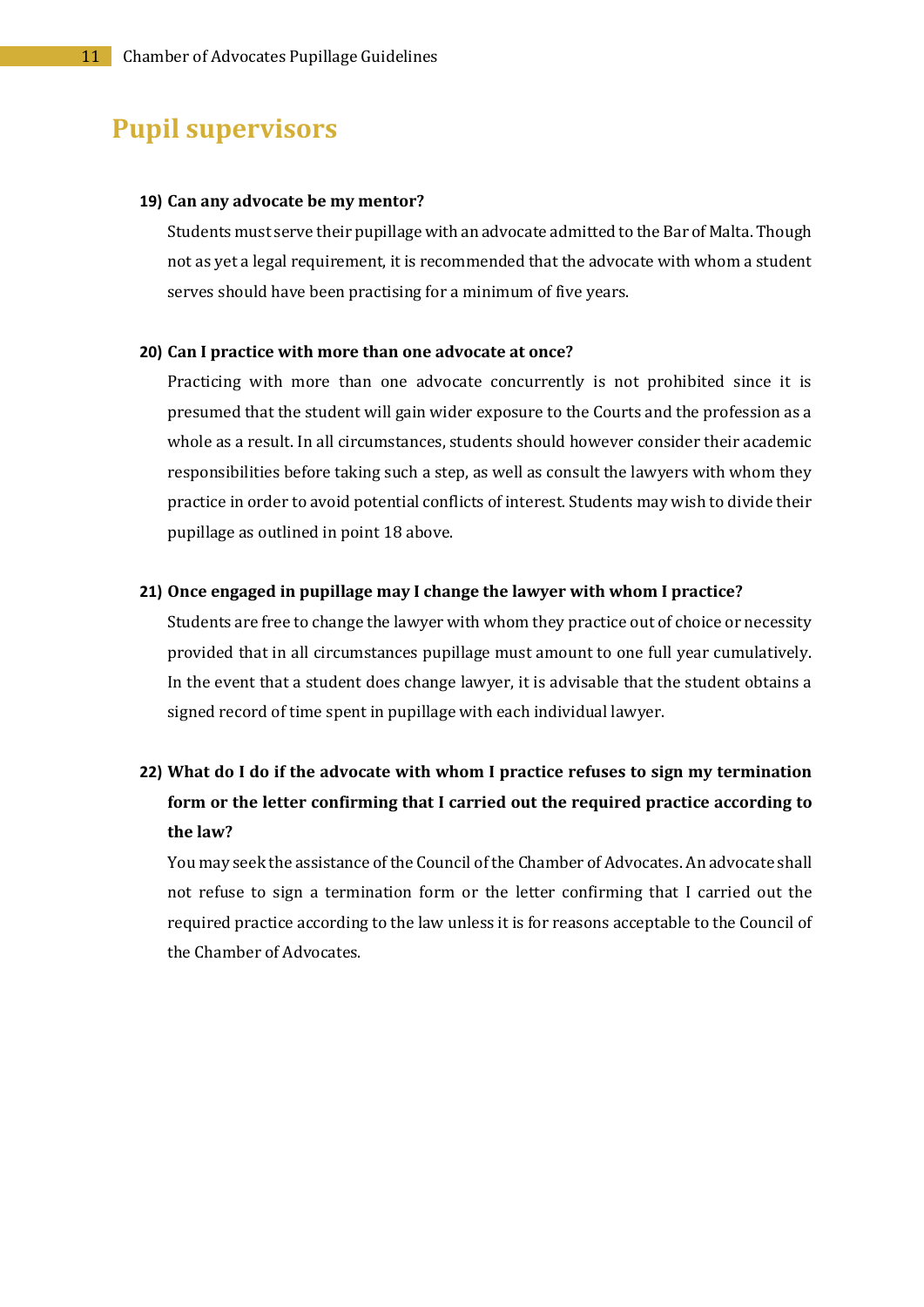## **Pupil supervisors**

#### **19) Can any advocate be my mentor?**

Students must serve their pupillage with an advocate admitted to the Bar of Malta. Though not as yet a legal requirement, it is recommended that the advocate with whom a student serves should have been practising for a minimum of five years.

#### **20) Can I practice with more than one advocate at once?**

Practicing with more than one advocate concurrently is not prohibited since it is presumed that the student will gain wider exposure to the Courts and the profession as a whole as a result. In all circumstances, students should however consider their academic responsibilities before taking such a step, as well as consult the lawyers with whom they practice in order to avoid potential conflicts of interest. Students may wish to divide their pupillage as outlined in point 18 above.

### **21) Once engaged in pupillage may I change the lawyer with whom I practice?**

Students are free to change the lawyer with whom they practice out of choice or necessity provided that in all circumstances pupillage must amount to one full year cumulatively. In the event that a student does change lawyer, it is advisable that the student obtains a signed record of time spent in pupillage with each individual lawyer.

## **22) What do I do if the advocate with whom I practice refuses to sign my termination form or the letter confirming that I carried out the required practice according to the law?**

You may seek the assistance of the Council of the Chamber of Advocates. An advocate shall not refuse to sign a termination form or the letter confirming that I carried out the required practice according to the law unless it is for reasons acceptable to the Council of the Chamber of Advocates.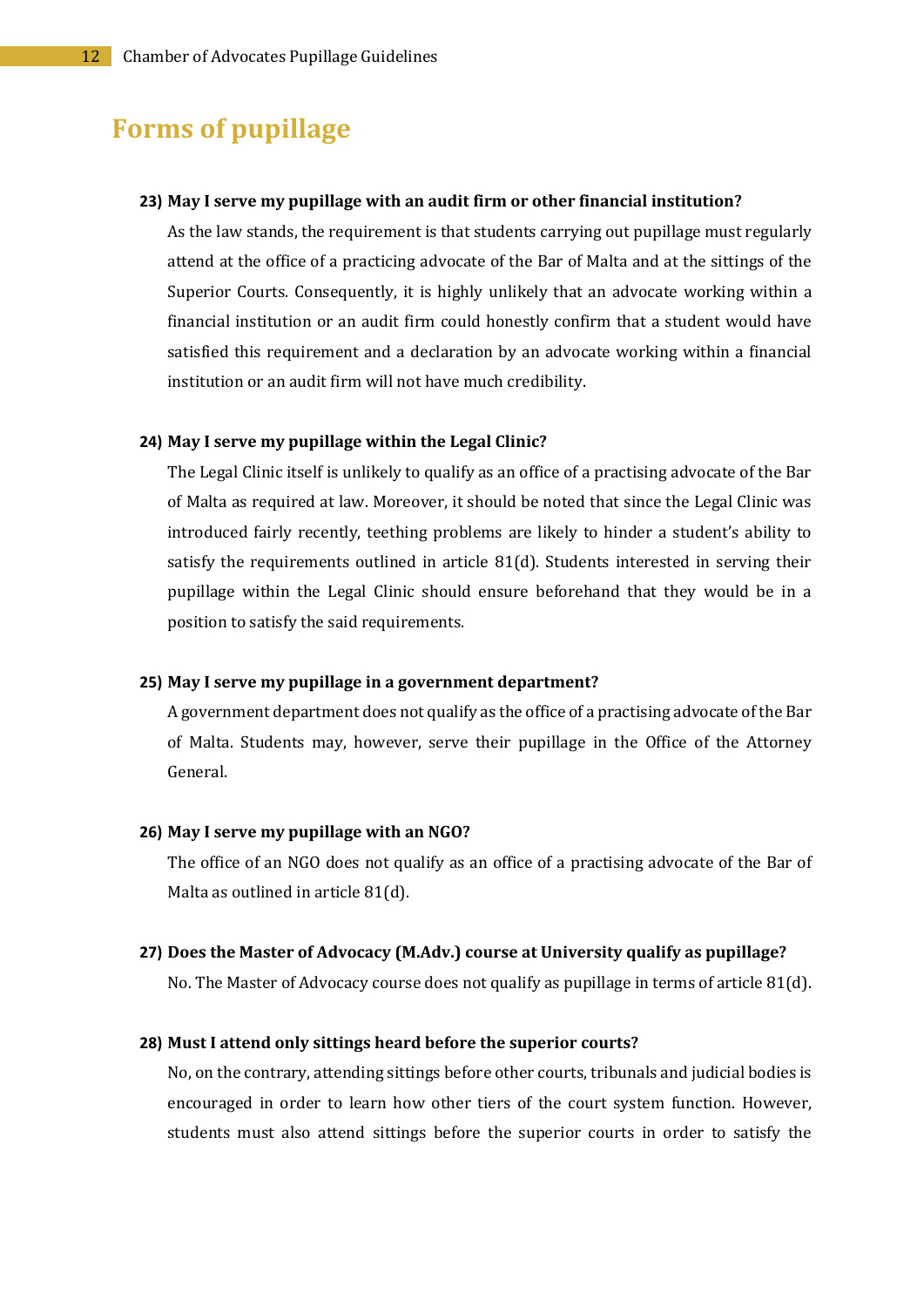# **Forms of pupillage**

#### **23) May I serve my pupillage with an audit firm or other financial institution?**

As the law stands, the requirement is that students carrying out pupillage must regularly attend at the office of a practicing advocate of the Bar of Malta and at the sittings of the Superior Courts. Consequently, it is highly unlikely that an advocate working within a financial institution or an audit firm could honestly confirm that a student would have satisfied this requirement and a declaration by an advocate working within a financial institution or an audit firm will not have much credibility.

### **24) May I serve my pupillage within the Legal Clinic?**

The Legal Clinic itself is unlikely to qualify as an office of a practising advocate of the Bar of Malta as required at law. Moreover, it should be noted that since the Legal Clinic was introduced fairly recently, teething problems are likely to hinder a student's ability to satisfy the requirements outlined in article 81(d). Students interested in serving their pupillage within the Legal Clinic should ensure beforehand that they would be in a position to satisfy the said requirements.

#### **25) May I serve my pupillage in a government department?**

A government department does not qualify as the office of a practising advocate of the Bar of Malta. Students may, however, serve their pupillage in the Office of the Attorney General.

### **26) May I serve my pupillage with an NGO?**

The office of an NGO does not qualify as an office of a practising advocate of the Bar of Malta as outlined in article 81(d).

### **27) Does the Master of Advocacy (M.Adv.) course at University qualify as pupillage?**

No. The Master of Advocacy course does not qualify as pupillage in terms of article 81(d).

## **28) Must I attend only sittings heard before the superior courts?**

No, on the contrary, attending sittings before other courts, tribunals and judicial bodies is encouraged in order to learn how other tiers of the court system function. However, students must also attend sittings before the superior courts in order to satisfy the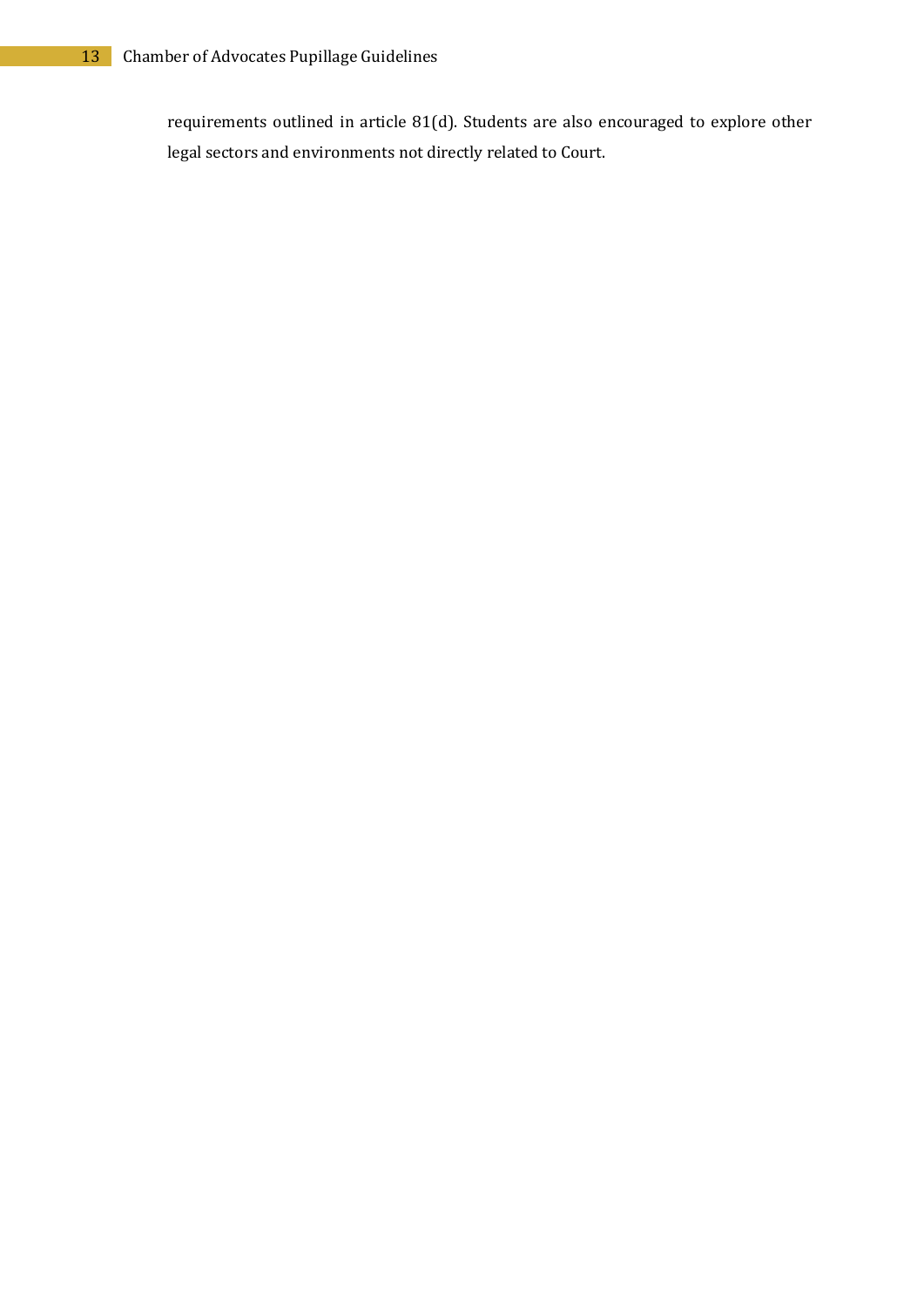requirements outlined in article 81(d). Students are also encouraged to explore other legal sectors and environments not directly related to Court.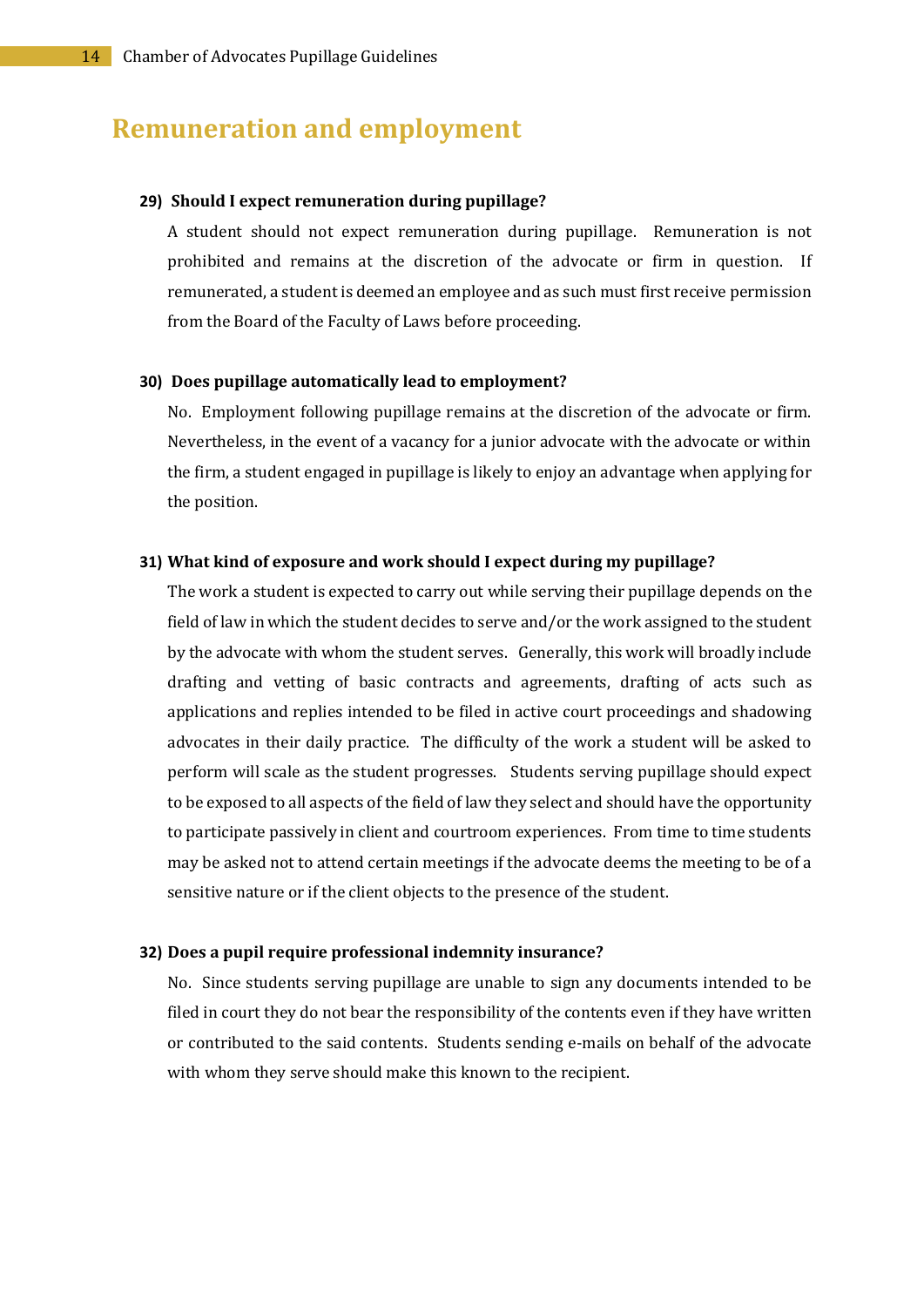## **Remuneration and employment**

## **29) Should I expect remuneration during pupillage?**

A student should not expect remuneration during pupillage. Remuneration is not prohibited and remains at the discretion of the advocate or firm in question. If remunerated, a student is deemed an employee and as such must first receive permission from the Board of the Faculty of Laws before proceeding.

### **30) Does pupillage automatically lead to employment?**

No. Employment following pupillage remains at the discretion of the advocate or firm. Nevertheless, in the event of a vacancy for a junior advocate with the advocate or within the firm, a student engaged in pupillage is likely to enjoy an advantage when applying for the position.

### **31) What kind of exposure and work should I expect during my pupillage?**

The work a student is expected to carry out while serving their pupillage depends on the field of law in which the student decides to serve and/or the work assigned to the student by the advocate with whom the student serves. Generally, this work will broadly include drafting and vetting of basic contracts and agreements, drafting of acts such as applications and replies intended to be filed in active court proceedings and shadowing advocates in their daily practice. The difficulty of the work a student will be asked to perform will scale as the student progresses. Students serving pupillage should expect to be exposed to all aspects of the field of law they select and should have the opportunity to participate passively in client and courtroom experiences. From time to time students may be asked not to attend certain meetings if the advocate deems the meeting to be of a sensitive nature or if the client objects to the presence of the student.

### **32) Does a pupil require professional indemnity insurance?**

No. Since students serving pupillage are unable to sign any documents intended to be filed in court they do not bear the responsibility of the contents even if they have written or contributed to the said contents. Students sending e-mails on behalf of the advocate with whom they serve should make this known to the recipient.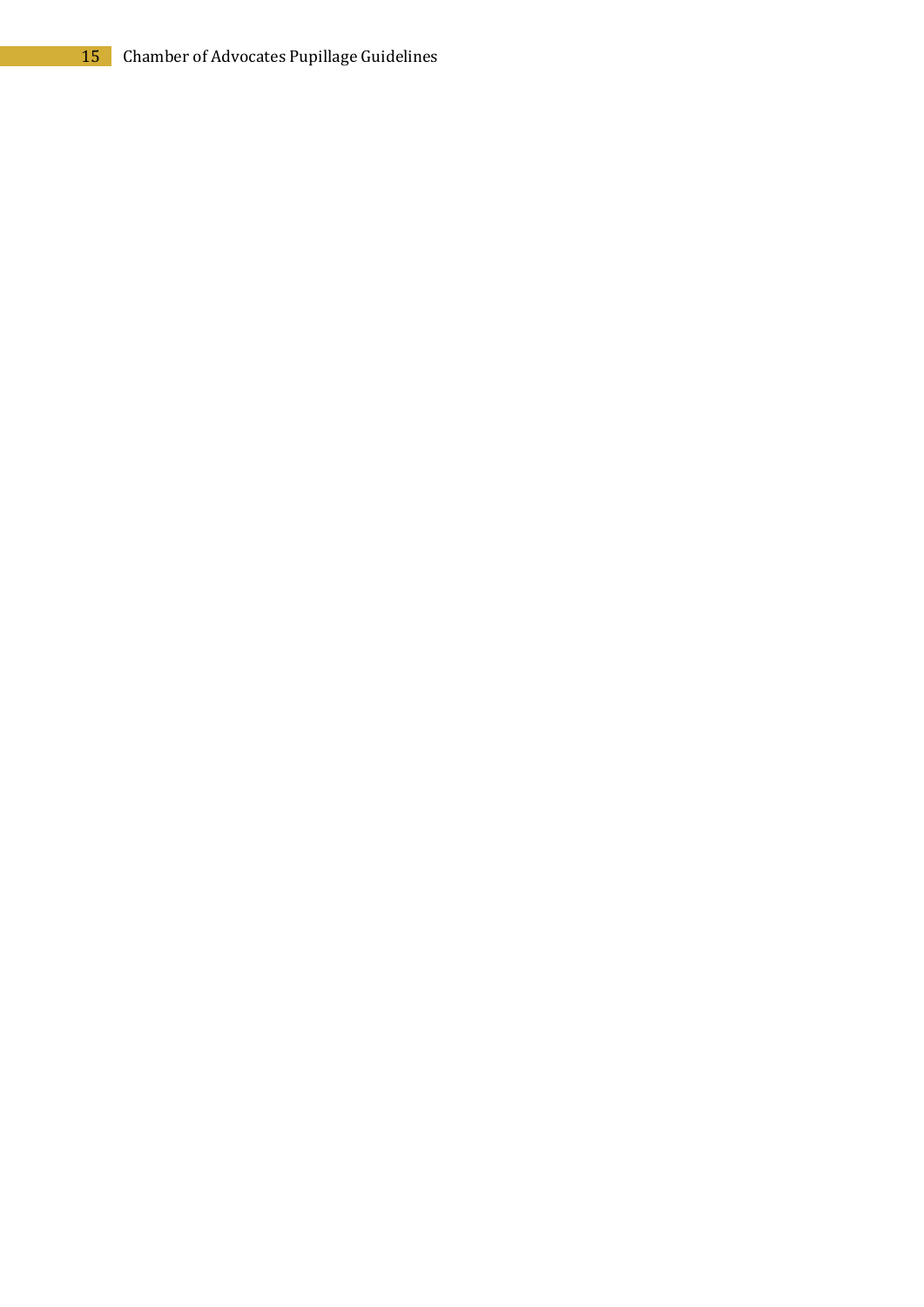## 15 Chamber of Advocates Pupillage Guidelines